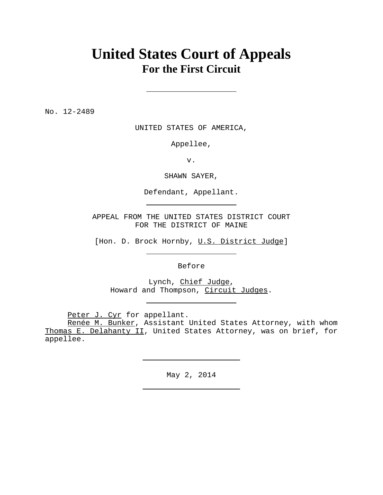# **United States Court of Appeals For the First Circuit**

No. 12-2489

UNITED STATES OF AMERICA,

Appellee,

v.

SHAWN SAYER,

Defendant, Appellant.

APPEAL FROM THE UNITED STATES DISTRICT COURT FOR THE DISTRICT OF MAINE

[Hon. D. Brock Hornby, U.S. District Judge]

Before

Lynch, Chief Judge, Howard and Thompson, Circuit Judges.

Peter J. Cyr for appellant.

Renée M. Bunker, Assistant United States Attorney, with whom Thomas E. Delahanty II, United States Attorney, was on brief, for appellee.

May 2, 2014

<u> 1989 - Johann Barbara, martxa a</u>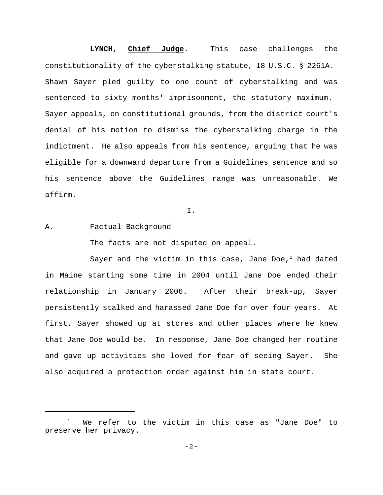# **LYNCH, Chief Judge**. This case challenges the constitutionality of the cyberstalking statute, 18 U.S.C. § 2261A. Shawn Sayer pled guilty to one count of cyberstalking and was sentenced to sixty months' imprisonment, the statutory maximum. Sayer appeals, on constitutional grounds, from the district court's denial of his motion to dismiss the cyberstalking charge in the indictment. He also appeals from his sentence, arguing that he was eligible for a downward departure from a Guidelines sentence and so his sentence above the Guidelines range was unreasonable. We affirm.

I.

# A. Factual Background

The facts are not disputed on appeal.

Sayer and the victim in this case, Jane Doe, $<sup>1</sup>$  had dated</sup> in Maine starting some time in 2004 until Jane Doe ended their relationship in January 2006. After their break-up, Sayer persistently stalked and harassed Jane Doe for over four years. At first, Sayer showed up at stores and other places where he knew that Jane Doe would be. In response, Jane Doe changed her routine and gave up activities she loved for fear of seeing Sayer. She also acquired a protection order against him in state court.

 $1$  We refer to the victim in this case as "Jane Doe" to preserve her privacy.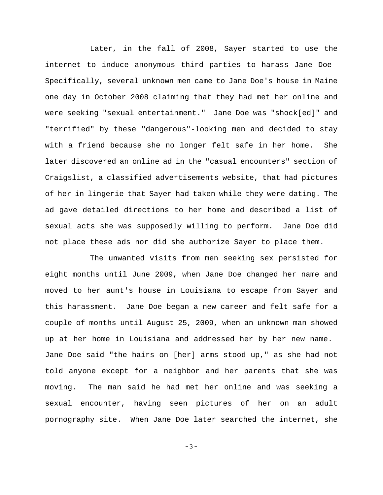Later, in the fall of 2008, Sayer started to use the internet to induce anonymous third parties to harass Jane Doe Specifically, several unknown men came to Jane Doe's house in Maine one day in October 2008 claiming that they had met her online and were seeking "sexual entertainment." Jane Doe was "shock[ed]" and "terrified" by these "dangerous"-looking men and decided to stay with a friend because she no longer felt safe in her home. She later discovered an online ad in the "casual encounters" section of Craigslist, a classified advertisements website, that had pictures of her in lingerie that Sayer had taken while they were dating. The ad gave detailed directions to her home and described a list of sexual acts she was supposedly willing to perform. Jane Doe did not place these ads nor did she authorize Sayer to place them.

The unwanted visits from men seeking sex persisted for eight months until June 2009, when Jane Doe changed her name and moved to her aunt's house in Louisiana to escape from Sayer and this harassment. Jane Doe began a new career and felt safe for a couple of months until August 25, 2009, when an unknown man showed up at her home in Louisiana and addressed her by her new name. Jane Doe said "the hairs on [her] arms stood up," as she had not told anyone except for a neighbor and her parents that she was moving. The man said he had met her online and was seeking a sexual encounter, having seen pictures of her on an adult pornography site. When Jane Doe later searched the internet, she

-3-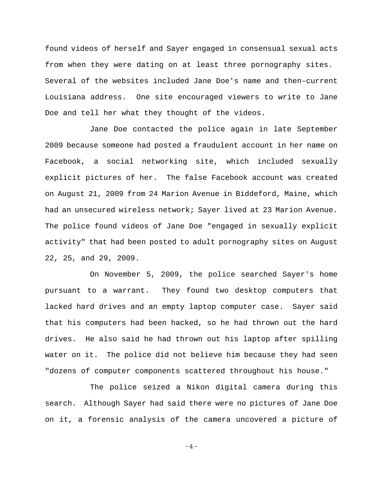found videos of herself and Sayer engaged in consensual sexual acts from when they were dating on at least three pornography sites. Several of the websites included Jane Doe's name and then-current Louisiana address. One site encouraged viewers to write to Jane Doe and tell her what they thought of the videos.

Jane Doe contacted the police again in late September 2009 because someone had posted a fraudulent account in her name on Facebook, a social networking site, which included sexually explicit pictures of her. The false Facebook account was created on August 21, 2009 from 24 Marion Avenue in Biddeford, Maine, which had an unsecured wireless network; Sayer lived at 23 Marion Avenue. The police found videos of Jane Doe "engaged in sexually explicit activity" that had been posted to adult pornography sites on August 22, 25, and 29, 2009.

On November 5, 2009, the police searched Sayer's home pursuant to a warrant. They found two desktop computers that lacked hard drives and an empty laptop computer case. Sayer said that his computers had been hacked, so he had thrown out the hard drives. He also said he had thrown out his laptop after spilling water on it. The police did not believe him because they had seen "dozens of computer components scattered throughout his house."

The police seized a Nikon digital camera during this search. Although Sayer had said there were no pictures of Jane Doe on it, a forensic analysis of the camera uncovered a picture of

-4-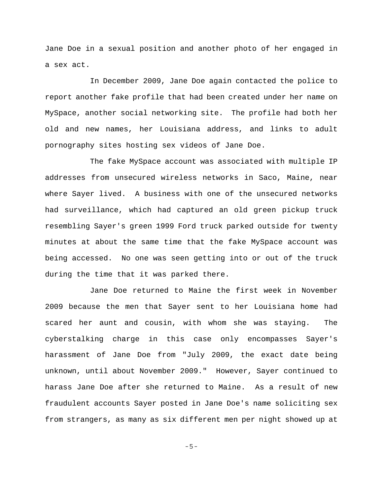Jane Doe in a sexual position and another photo of her engaged in a sex act.

In December 2009, Jane Doe again contacted the police to report another fake profile that had been created under her name on MySpace, another social networking site. The profile had both her old and new names, her Louisiana address, and links to adult pornography sites hosting sex videos of Jane Doe.

The fake MySpace account was associated with multiple IP addresses from unsecured wireless networks in Saco, Maine, near where Sayer lived. A business with one of the unsecured networks had surveillance, which had captured an old green pickup truck resembling Sayer's green 1999 Ford truck parked outside for twenty minutes at about the same time that the fake MySpace account was being accessed. No one was seen getting into or out of the truck during the time that it was parked there.

Jane Doe returned to Maine the first week in November 2009 because the men that Sayer sent to her Louisiana home had scared her aunt and cousin, with whom she was staying. The cyberstalking charge in this case only encompasses Sayer's harassment of Jane Doe from "July 2009, the exact date being unknown, until about November 2009." However, Sayer continued to harass Jane Doe after she returned to Maine. As a result of new fraudulent accounts Sayer posted in Jane Doe's name soliciting sex from strangers, as many as six different men per night showed up at

-5-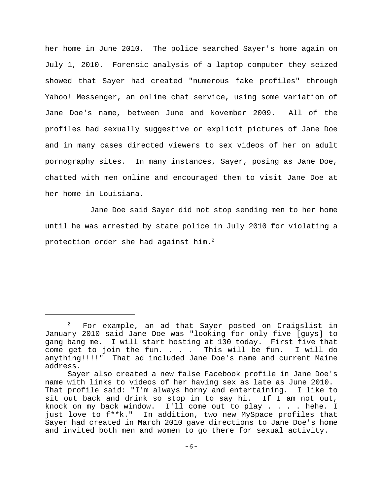her home in June 2010. The police searched Sayer's home again on July 1, 2010. Forensic analysis of a laptop computer they seized showed that Sayer had created "numerous fake profiles" through Yahoo! Messenger, an online chat service, using some variation of Jane Doe's name, between June and November 2009. All of the profiles had sexually suggestive or explicit pictures of Jane Doe and in many cases directed viewers to sex videos of her on adult pornography sites. In many instances, Sayer, posing as Jane Doe, chatted with men online and encouraged them to visit Jane Doe at her home in Louisiana.

Jane Doe said Sayer did not stop sending men to her home until he was arrested by state police in July 2010 for violating a protection order she had against him.<sup>2</sup>

 $2^2$  For example, an ad that Sayer posted on Craigslist in January 2010 said Jane Doe was "looking for only five [guys] to gang bang me. I will start hosting at 130 today. First five that come get to join the fun. . . . This will be fun. I will do anything!!!!" That ad included Jane Doe's name and current Maine address.

Sayer also created a new false Facebook profile in Jane Doe's name with links to videos of her having sex as late as June 2010. That profile said: "I'm always horny and entertaining. I like to sit out back and drink so stop in to say hi. If I am not out, knock on my back window. I'll come out to play . . . . hehe. I just love to f\*\*k." In addition, two new MySpace profiles that Sayer had created in March 2010 gave directions to Jane Doe's home and invited both men and women to go there for sexual activity.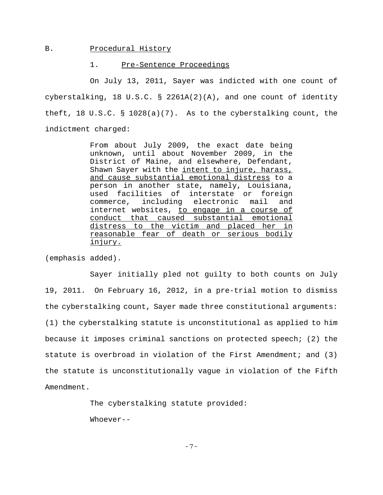# B. Procedural History

#### 1. Pre-Sentence Proceedings

On July 13, 2011, Sayer was indicted with one count of cyberstalking, 18 U.S.C. § 2261A(2)(A), and one count of identity theft, 18 U.S.C. § 1028(a)(7). As to the cyberstalking count, the indictment charged:

> From about July 2009, the exact date being unknown, until about November 2009, in the District of Maine, and elsewhere, Defendant, Shawn Sayer with the intent to injure, harass, and cause substantial emotional distress to a person in another state, namely, Louisiana, used facilities of interstate or foreign commerce, including electronic mail and internet websites, to engage in a course of conduct that caused substantial emotional distress to the victim and placed her in reasonable fear of death or serious bodily injury.

(emphasis added).

Sayer initially pled not guilty to both counts on July 19, 2011. On February 16, 2012, in a pre-trial motion to dismiss the cyberstalking count, Sayer made three constitutional arguments: (1) the cyberstalking statute is unconstitutional as applied to him because it imposes criminal sanctions on protected speech; (2) the statute is overbroad in violation of the First Amendment; and (3) the statute is unconstitutionally vague in violation of the Fifth Amendment.

The cyberstalking statute provided:

Whoever--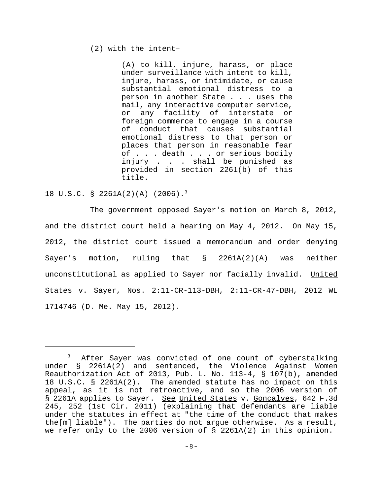### (2) with the intent–

(A) to kill, injure, harass, or place under surveillance with intent to kill, injure, harass, or intimidate, or cause substantial emotional distress to a person in another State . . . uses the mail, any interactive computer service, or any facility of interstate or foreign commerce to engage in a course of conduct that causes substantial emotional distress to that person or places that person in reasonable fear of . . . death . . . or serious bodily injury . . . shall be punished as provided in section 2261(b) of this title.

### 18 U.S.C. § 2261A(2)(A) (2006).3

The government opposed Sayer's motion on March 8, 2012, and the district court held a hearing on May 4, 2012. On May 15, 2012, the district court issued a memorandum and order denying Sayer's motion, ruling that § 2261A(2)(A) was neither unconstitutional as applied to Sayer nor facially invalid. United States v. Sayer, Nos. 2:11-CR-113-DBH, 2:11-CR-47-DBH, 2012 WL 1714746 (D. Me. May 15, 2012).

<sup>&</sup>lt;sup>3</sup> After Sayer was convicted of one count of cyberstalking under § 2261A(2) and sentenced, the Violence Against Women Reauthorization Act of 2013, Pub. L. No. 113-4, § 107(b), amended 18 U.S.C. § 2261A(2). The amended statute has no impact on this appeal, as it is not retroactive, and so the 2006 version of § 2261A applies to Sayer. See United States v. Goncalves, 642 F.3d 245, 252 (1st Cir. 2011) (explaining that defendants are liable under the statutes in effect at "the time of the conduct that makes the[m] liable"). The parties do not argue otherwise. As a result, we refer only to the 2006 version of § 2261A(2) in this opinion.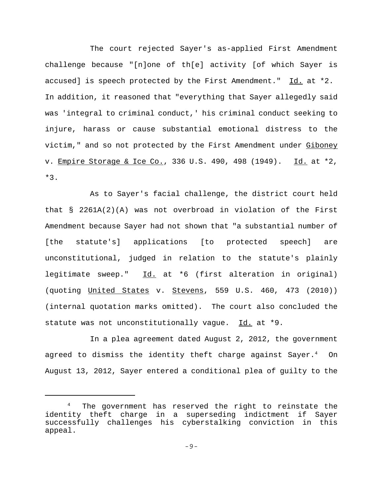The court rejected Sayer's as-applied First Amendment challenge because "[n]one of th[e] activity [of which Sayer is accused] is speech protected by the First Amendment." Id. at \*2. In addition, it reasoned that "everything that Sayer allegedly said was 'integral to criminal conduct,' his criminal conduct seeking to injure, harass or cause substantial emotional distress to the victim," and so not protected by the First Amendment under Giboney v. Empire Storage & Ice Co., 336 U.S. 490, 498 (1949). Id. at \*2, \*3.

As to Sayer's facial challenge, the district court held that  $\S$  2261A(2)(A) was not overbroad in violation of the First Amendment because Sayer had not shown that "a substantial number of [the statute's] applications [to protected speech] are unconstitutional, judged in relation to the statute's plainly legitimate sweep." Id. at \*6 (first alteration in original) (quoting United States v. Stevens, 559 U.S. 460, 473 (2010)) (internal quotation marks omitted). The court also concluded the statute was not unconstitutionally vague. Id. at \*9.

In a plea agreement dated August 2, 2012, the government agreed to dismiss the identity theft charge against Sayer. $^4\quad$  On August 13, 2012, Sayer entered a conditional plea of guilty to the

<sup>4</sup> The government has reserved the right to reinstate the identity theft charge in a superseding indictment if Sayer successfully challenges his cyberstalking conviction in this appeal.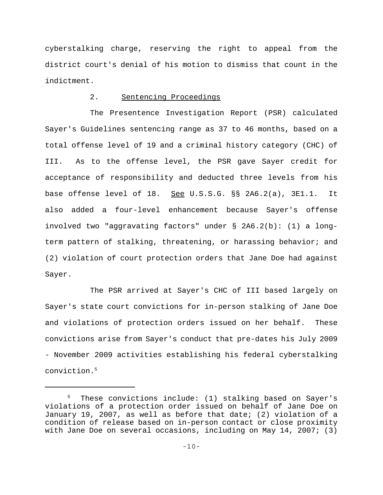cyberstalking charge, reserving the right to appeal from the district court's denial of his motion to dismiss that count in the indictment.

# 2. Sentencing Proceedings

The Presentence Investigation Report (PSR) calculated Sayer's Guidelines sentencing range as 37 to 46 months, based on a total offense level of 19 and a criminal history category (CHC) of III. As to the offense level, the PSR gave Sayer credit for acceptance of responsibility and deducted three levels from his base offense level of 18. See U.S.S.G. §§ 2A6.2(a), 3E1.1. It also added a four-level enhancement because Sayer's offense involved two "aggravating factors" under § 2A6.2(b): (1) a longterm pattern of stalking, threatening, or harassing behavior; and (2) violation of court protection orders that Jane Doe had against Sayer.

The PSR arrived at Sayer's CHC of III based largely on Sayer's state court convictions for in-person stalking of Jane Doe and violations of protection orders issued on her behalf. These convictions arise from Sayer's conduct that pre-dates his July 2009 - November 2009 activities establishing his federal cyberstalking conviction.5

<sup>5</sup> These convictions include: (1) stalking based on Sayer's violations of a protection order issued on behalf of Jane Doe on January 19, 2007, as well as before that date; (2) violation of a condition of release based on in-person contact or close proximity with Jane Doe on several occasions, including on May 14, 2007; (3)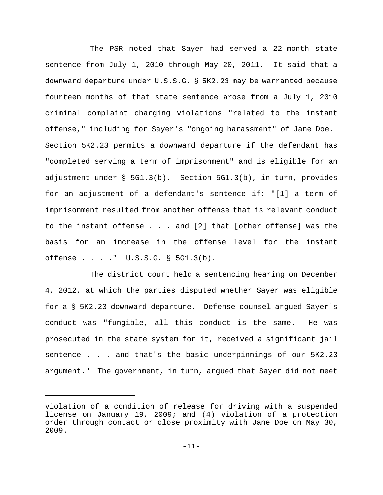The PSR noted that Sayer had served a 22-month state sentence from July 1, 2010 through May 20, 2011. It said that a downward departure under U.S.S.G. § 5K2.23 may be warranted because fourteen months of that state sentence arose from a July 1, 2010 criminal complaint charging violations "related to the instant offense," including for Sayer's "ongoing harassment" of Jane Doe. Section 5K2.23 permits a downward departure if the defendant has "completed serving a term of imprisonment" and is eligible for an adjustment under § 5G1.3(b). Section 5G1.3(b), in turn, provides for an adjustment of a defendant's sentence if: "[1] a term of imprisonment resulted from another offense that is relevant conduct to the instant offense . . . and [2] that [other offense] was the basis for an increase in the offense level for the instant offense . . . ." U.S.S.G. § 5G1.3(b).

The district court held a sentencing hearing on December 4, 2012, at which the parties disputed whether Sayer was eligible for a § 5K2.23 downward departure. Defense counsel argued Sayer's conduct was "fungible, all this conduct is the same. He was prosecuted in the state system for it, received a significant jail sentence . . . and that's the basic underpinnings of our 5K2.23 argument." The government, in turn, argued that Sayer did not meet

violation of a condition of release for driving with a suspended license on January 19, 2009; and (4) violation of a protection order through contact or close proximity with Jane Doe on May 30, 2009.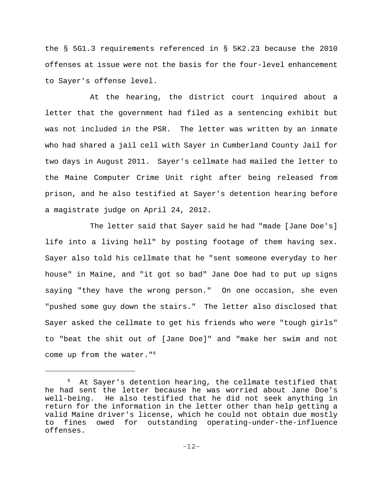the § 5G1.3 requirements referenced in § 5K2.23 because the 2010 offenses at issue were not the basis for the four-level enhancement to Sayer's offense level.

At the hearing, the district court inquired about a letter that the government had filed as a sentencing exhibit but was not included in the PSR. The letter was written by an inmate who had shared a jail cell with Sayer in Cumberland County Jail for two days in August 2011. Sayer's cellmate had mailed the letter to the Maine Computer Crime Unit right after being released from prison, and he also testified at Sayer's detention hearing before a magistrate judge on April 24, 2012.

The letter said that Sayer said he had "made [Jane Doe's] life into a living hell" by posting footage of them having sex. Sayer also told his cellmate that he "sent someone everyday to her house" in Maine, and "it got so bad" Jane Doe had to put up signs saying "they have the wrong person." On one occasion, she even "pushed some guy down the stairs." The letter also disclosed that Sayer asked the cellmate to get his friends who were "tough girls" to "beat the shit out of [Jane Doe]" and "make her swim and not come up from the water."6

 $6$  At Sayer's detention hearing, the cellmate testified that he had sent the letter because he was worried about Jane Doe's well-being. He also testified that he did not seek anything in return for the information in the letter other than help getting a valid Maine driver's license, which he could not obtain due mostly to fines owed for outstanding operating-under-the-influence offenses.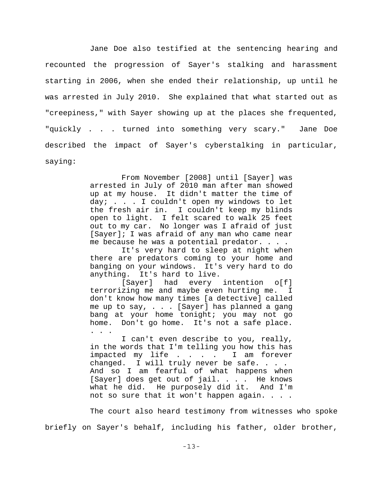Jane Doe also testified at the sentencing hearing and recounted the progression of Sayer's stalking and harassment starting in 2006, when she ended their relationship, up until he was arrested in July 2010. She explained that what started out as "creepiness," with Sayer showing up at the places she frequented, "quickly . . . turned into something very scary." Jane Doe described the impact of Sayer's cyberstalking in particular, saying:

> From November [2008] until [Sayer] was arrested in July of 2010 man after man showed up at my house. It didn't matter the time of day; . . . I couldn't open my windows to let the fresh air in. I couldn't keep my blinds open to light. I felt scared to walk 25 feet out to my car. No longer was I afraid of just [Sayer]; I was afraid of any man who came near me because he was a potential predator. . . .

> It's very hard to sleep at night when there are predators coming to your home and banging on your windows. It's very hard to do anything. It's hard to live.

> [Sayer] had every intention o[f] terrorizing me and maybe even hurting me. I don't know how many times [a detective] called me up to say, . . . [Sayer] has planned a gang bang at your home tonight; you may not go home. Don't go home. It's not a safe place. . . .

> I can't even describe to you, really, in the words that I'm telling you how this has impacted my life . . . . I am forever changed. I will truly never be safe... And so I am fearful of what happens when [Sayer] does get out of jail. . . . He knows what he did. He purposely did it. And I'm not so sure that it won't happen again. . . .

The court also heard testimony from witnesses who spoke briefly on Sayer's behalf, including his father, older brother,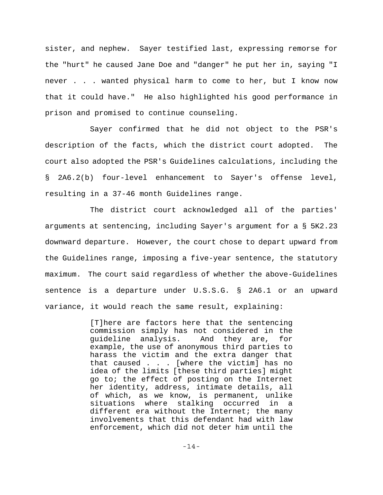sister, and nephew. Sayer testified last, expressing remorse for the "hurt" he caused Jane Doe and "danger" he put her in, saying "I never . . . wanted physical harm to come to her, but I know now that it could have." He also highlighted his good performance in prison and promised to continue counseling.

Sayer confirmed that he did not object to the PSR's description of the facts, which the district court adopted. The court also adopted the PSR's Guidelines calculations, including the § 2A6.2(b) four-level enhancement to Sayer's offense level, resulting in a 37-46 month Guidelines range.

The district court acknowledged all of the parties' arguments at sentencing, including Sayer's argument for a § 5K2.23 downward departure. However, the court chose to depart upward from the Guidelines range, imposing a five-year sentence, the statutory maximum. The court said regardless of whether the above-Guidelines sentence is a departure under U.S.S.G. § 2A6.1 or an upward variance, it would reach the same result, explaining:

> [T]here are factors here that the sentencing commission simply has not considered in the guideline analysis. And they are, for example, the use of anonymous third parties to harass the victim and the extra danger that that caused . . . [where the victim] has no idea of the limits [these third parties] might go to; the effect of posting on the Internet her identity, address, intimate details, all of which, as we know, is permanent, unlike situations where stalking occurred in a different era without the Internet; the many involvements that this defendant had with law enforcement, which did not deter him until the

> > -14-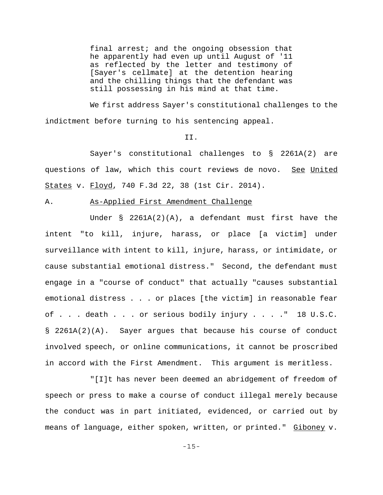final arrest; and the ongoing obsession that he apparently had even up until August of '11 as reflected by the letter and testimony of [Sayer's cellmate] at the detention hearing and the chilling things that the defendant was still possessing in his mind at that time.

We first address Sayer's constitutional challenges to the indictment before turning to his sentencing appeal.

# II.

Sayer's constitutional challenges to § 2261A(2) are questions of law, which this court reviews de novo. See United States v. Floyd, 740 F.3d 22, 38 (1st Cir. 2014).

### A. As-Applied First Amendment Challenge

Under  $\S$  2261A(2)(A), a defendant must first have the intent "to kill, injure, harass, or place [a victim] under surveillance with intent to kill, injure, harass, or intimidate, or cause substantial emotional distress." Second, the defendant must engage in a "course of conduct" that actually "causes substantial emotional distress . . . or places [the victim] in reasonable fear of . . . death . . . or serious bodily injury . . . ." 18 U.S.C. § 2261A(2)(A). Sayer argues that because his course of conduct involved speech, or online communications, it cannot be proscribed in accord with the First Amendment. This argument is meritless.

"[I]t has never been deemed an abridgement of freedom of speech or press to make a course of conduct illegal merely because the conduct was in part initiated, evidenced, or carried out by means of language, either spoken, written, or printed." Giboney v.

-15-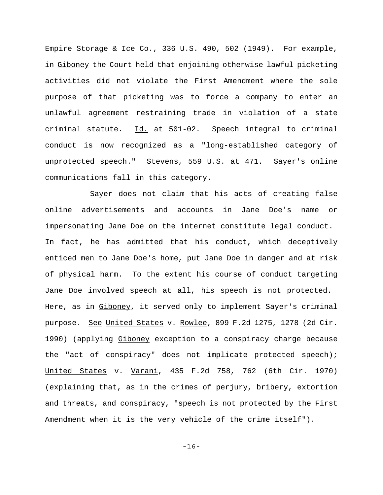Empire Storage & Ice Co., 336 U.S. 490, 502 (1949). For example, in Giboney the Court held that enjoining otherwise lawful picketing activities did not violate the First Amendment where the sole purpose of that picketing was to force a company to enter an unlawful agreement restraining trade in violation of a state criminal statute. Id. at 501-02. Speech integral to criminal conduct is now recognized as a "long-established category of unprotected speech." Stevens, 559 U.S. at 471. Sayer's online communications fall in this category.

Sayer does not claim that his acts of creating false online advertisements and accounts in Jane Doe's name or impersonating Jane Doe on the internet constitute legal conduct. In fact, he has admitted that his conduct, which deceptively enticed men to Jane Doe's home, put Jane Doe in danger and at risk of physical harm. To the extent his course of conduct targeting Jane Doe involved speech at all, his speech is not protected. Here, as in Giboney, it served only to implement Sayer's criminal purpose. See United States v. Rowlee, 899 F.2d 1275, 1278 (2d Cir. 1990) (applying Giboney exception to a conspiracy charge because the "act of conspiracy" does not implicate protected speech); United States v. Varani, 435 F.2d 758, 762 (6th Cir. 1970) (explaining that, as in the crimes of perjury, bribery, extortion and threats, and conspiracy, "speech is not protected by the First Amendment when it is the very vehicle of the crime itself").

-16-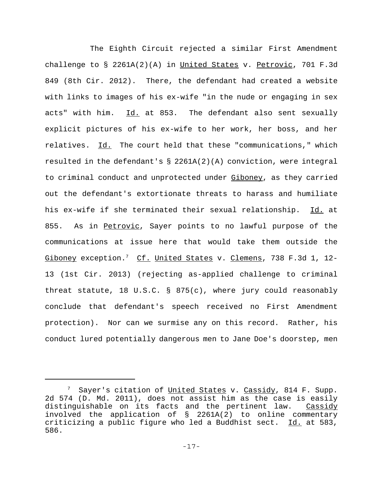The Eighth Circuit rejected a similar First Amendment challenge to  $\S$  2261A(2)(A) in United States v. Petrovic, 701 F.3d 849 (8th Cir. 2012). There, the defendant had created a website with links to images of his ex-wife "in the nude or engaging in sex acts" with him. Id. at 853. The defendant also sent sexually explicit pictures of his ex-wife to her work, her boss, and her relatives. Id. The court held that these "communications," which resulted in the defendant's § 2261A(2)(A) conviction, were integral to criminal conduct and unprotected under Giboney, as they carried out the defendant's extortionate threats to harass and humiliate his ex-wife if she terminated their sexual relationship. Id. at 855. As in Petrovic, Sayer points to no lawful purpose of the communications at issue here that would take them outside the Giboney exception.<sup>7</sup> Cf. United States v. Clemens, 738 F.3d 1, 12-13 (1st Cir. 2013) (rejecting as-applied challenge to criminal threat statute, 18 U.S.C. § 875(c), where jury could reasonably conclude that defendant's speech received no First Amendment protection). Nor can we surmise any on this record. Rather, his conduct lured potentially dangerous men to Jane Doe's doorstep, men

<sup>&</sup>lt;sup>7</sup> Sayer's citation of <u>United States</u> v. Cassidy, 814 F. Supp. 2d 574 (D. Md. 2011), does not assist him as the case is easily distinguishable on its facts and the pertinent law. Cassidy involved the application of § 2261A(2) to online commentary criticizing a public figure who led a Buddhist sect. Id. at 583, 586.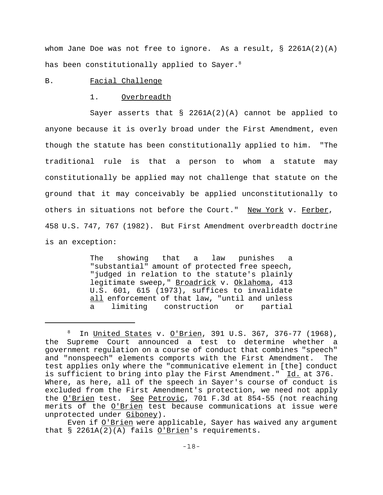whom Jane Doe was not free to ignore. As a result, § 2261A(2)(A) has been constitutionally applied to Sayer. $^8$ 

# B. Facial Challenge

#### 1. Overbreadth

Sayer asserts that  $\S$  2261A(2)(A) cannot be applied to anyone because it is overly broad under the First Amendment, even though the statute has been constitutionally applied to him. "The traditional rule is that a person to whom a statute may constitutionally be applied may not challenge that statute on the ground that it may conceivably be applied unconstitutionally to others in situations not before the Court." New York v. Ferber, 458 U.S. 747, 767 (1982). But First Amendment overbreadth doctrine is an exception:

> The showing that a law punishes a "substantial" amount of protected free speech, "judged in relation to the statute's plainly legitimate sweep," Broadrick v. Oklahoma, 413 U.S. 601, 615 (1973), suffices to invalidate all enforcement of that law, "until and unless a limiting construction or partial

<sup>8</sup> In United States v. O'Brien, 391 U.S. 367, 376-77 (1968), the Supreme Court announced a test to determine whether a government regulation on a course of conduct that combines "speech" and "nonspeech" elements comports with the First Amendment. The test applies only where the "communicative element in [the] conduct is sufficient to bring into play the First Amendment." Id. at 376. Where, as here, all of the speech in Sayer's course of conduct is excluded from the First Amendment's protection, we need not apply the <u>O'Brien</u> test. See Petrovic, 701 F.3d at 854-55 (not reaching merits of the O'Brien test because communications at issue were unprotected under Giboney).

Even if O'Brien were applicable, Sayer has waived any arqument that § 2261A(2)(A) fails O'Brien's requirements.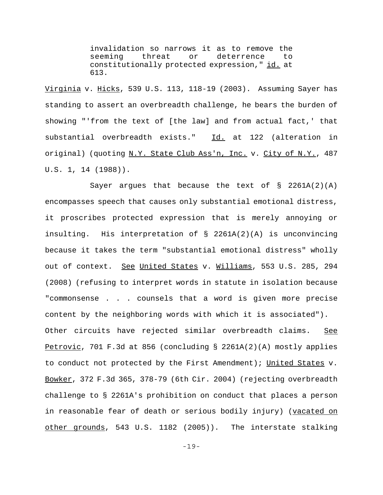invalidation so narrows it as to remove the seeming threat or deterrence to constitutionally protected expression," id. at 613.

Virginia v. Hicks, 539 U.S. 113, 118-19 (2003). Assuming Sayer has standing to assert an overbreadth challenge, he bears the burden of showing "'from the text of [the law] and from actual fact,' that substantial overbreadth exists." Id. at 122 (alteration in original) (quoting N.Y. State Club Ass'n, Inc. v. City of N.Y., 487 U.S. 1, 14 (1988)).

Sayer argues that because the text of  $\S$  2261A(2)(A) encompasses speech that causes only substantial emotional distress, it proscribes protected expression that is merely annoying or insulting. His interpretation of § 2261A(2)(A) is unconvincing because it takes the term "substantial emotional distress" wholly out of context. See United States v. Williams, 553 U.S. 285, 294 (2008) (refusing to interpret words in statute in isolation because "commonsense . . . counsels that a word is given more precise content by the neighboring words with which it is associated"). Other circuits have rejected similar overbreadth claims. See Petrovic, 701 F.3d at 856 (concluding § 2261A(2)(A) mostly applies to conduct not protected by the First Amendment); United States v. Bowker, 372 F.3d 365, 378-79 (6th Cir. 2004) (rejecting overbreadth challenge to § 2261A's prohibition on conduct that places a person in reasonable fear of death or serious bodily injury) (vacated on other grounds, 543 U.S. 1182 (2005)). The interstate stalking

-19-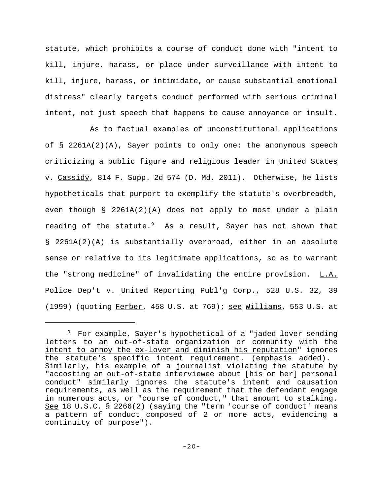statute, which prohibits a course of conduct done with "intent to kill, injure, harass, or place under surveillance with intent to kill, injure, harass, or intimidate, or cause substantial emotional distress" clearly targets conduct performed with serious criminal intent, not just speech that happens to cause annoyance or insult.

As to factual examples of unconstitutional applications of § 2261A(2)(A), Sayer points to only one: the anonymous speech criticizing a public figure and religious leader in United States v. Cassidy, 814 F. Supp. 2d 574 (D. Md. 2011). Otherwise, he lists hypotheticals that purport to exemplify the statute's overbreadth, even though § 2261A(2)(A) does not apply to most under a plain reading of the statute.<sup>9</sup> As a result, Sayer has not shown that § 2261A(2)(A) is substantially overbroad, either in an absolute sense or relative to its legitimate applications, so as to warrant the "strong medicine" of invalidating the entire provision. L.A. Police Dep't v. United Reporting Publ'g Corp., 528 U.S. 32, 39 (1999) (quoting Ferber, 458 U.S. at  $769$ ); see Williams, 553 U.S. at

<sup>&</sup>lt;sup>9</sup> For example, Sayer's hypothetical of a "jaded lover sending letters to an out-of-state organization or community with the intent to annoy the ex-lover and diminish his reputation" ignores the statute's specific intent requirement. (emphasis added). Similarly, his example of a journalist violating the statute by "accosting an out-of-state interviewee about [his or her] personal conduct" similarly ignores the statute's intent and causation requirements, as well as the requirement that the defendant engage in numerous acts, or "course of conduct," that amount to stalking. See 18 U.S.C. § 2266(2) (saying the "term 'course of conduct' means a pattern of conduct composed of 2 or more acts, evidencing a continuity of purpose").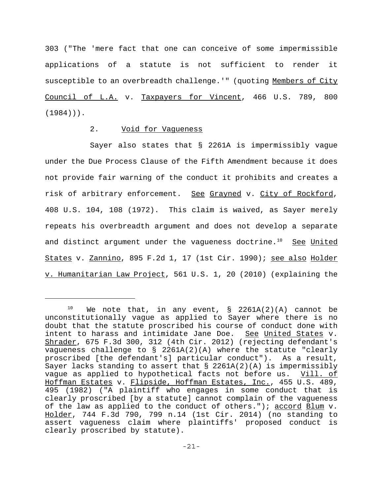303 ("The 'mere fact that one can conceive of some impermissible applications of a statute is not sufficient to render it susceptible to an overbreadth challenge.'" (quoting Members of City Council of L.A. v. Taxpayers for Vincent, 466 U.S. 789, 800 (1984))).

# 2. Void for Vagueness

Sayer also states that § 2261A is impermissibly vague under the Due Process Clause of the Fifth Amendment because it does not provide fair warning of the conduct it prohibits and creates a risk of arbitrary enforcement. See Grayned v. City of Rockford, 408 U.S. 104, 108 (1972). This claim is waived, as Sayer merely repeats his overbreadth argument and does not develop a separate and distinct argument under the vagueness doctrine.<sup>10</sup> See United States v. Zannino, 895 F.2d 1, 17 (1st Cir. 1990); see also Holder v. Humanitarian Law Project, 561 U.S. 1, 20 (2010) (explaining the

<sup>&</sup>lt;sup>10</sup> We note that, in any event, § 2261A(2)(A) cannot be unconstitutionally vague as applied to Sayer where there is no doubt that the statute proscribed his course of conduct done with intent to harass and intimidate Jane Doe. See United States v. Shrader, 675 F.3d 300, 312 (4th Cir. 2012) (rejecting defendant's vagueness challenge to § 2261A(2)(A) where the statute "clearly proscribed [the defendant's] particular conduct"). As a result, Sayer lacks standing to assert that  $\S$  2261A(2)(A) is impermissibly vague as applied to hypothetical facts not before us. Vill. of Hoffman Estates v. Flipside, Hoffman Estates, Inc., 455 U.S. 489, 495 (1982) ("A plaintiff who engages in some conduct that is clearly proscribed [by a statute] cannot complain of the vagueness of the law as applied to the conduct of others."); accord Blum v. Holder, 744 F.3d 790, 799 n.14 (1st Cir. 2014) (no standing to assert vagueness claim where plaintiffs' proposed conduct is clearly proscribed by statute).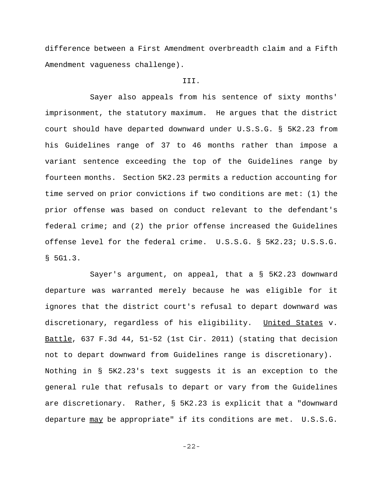difference between a First Amendment overbreadth claim and a Fifth Amendment vagueness challenge).

### III.

Sayer also appeals from his sentence of sixty months' imprisonment, the statutory maximum. He argues that the district court should have departed downward under U.S.S.G. § 5K2.23 from his Guidelines range of 37 to 46 months rather than impose a variant sentence exceeding the top of the Guidelines range by fourteen months. Section 5K2.23 permits a reduction accounting for time served on prior convictions if two conditions are met: (1) the prior offense was based on conduct relevant to the defendant's federal crime; and (2) the prior offense increased the Guidelines offense level for the federal crime. U.S.S.G. § 5K2.23; U.S.S.G. § 5G1.3.

Sayer's argument, on appeal, that a § 5K2.23 downward departure was warranted merely because he was eligible for it ignores that the district court's refusal to depart downward was discretionary, regardless of his eligibility. United States v. Battle, 637 F.3d 44, 51-52 (1st Cir. 2011) (stating that decision not to depart downward from Guidelines range is discretionary). Nothing in § 5K2.23's text suggests it is an exception to the general rule that refusals to depart or vary from the Guidelines are discretionary. Rather, § 5K2.23 is explicit that a "downward departure may be appropriate" if its conditions are met. U.S.S.G.

-22-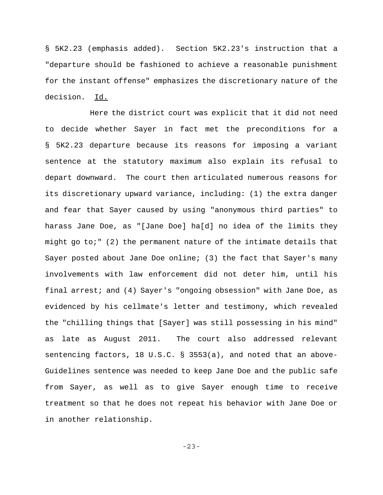§ 5K2.23 (emphasis added). Section 5K2.23's instruction that a "departure should be fashioned to achieve a reasonable punishment for the instant offense" emphasizes the discretionary nature of the decision. Id.

Here the district court was explicit that it did not need to decide whether Sayer in fact met the preconditions for a § 5K2.23 departure because its reasons for imposing a variant sentence at the statutory maximum also explain its refusal to depart downward. The court then articulated numerous reasons for its discretionary upward variance, including: (1) the extra danger and fear that Sayer caused by using "anonymous third parties" to harass Jane Doe, as "[Jane Doe] ha[d] no idea of the limits they might go to;" (2) the permanent nature of the intimate details that Sayer posted about Jane Doe online; (3) the fact that Sayer's many involvements with law enforcement did not deter him, until his final arrest; and (4) Sayer's "ongoing obsession" with Jane Doe, as evidenced by his cellmate's letter and testimony, which revealed the "chilling things that [Sayer] was still possessing in his mind" as late as August 2011. The court also addressed relevant sentencing factors, 18 U.S.C. § 3553(a), and noted that an above-Guidelines sentence was needed to keep Jane Doe and the public safe from Sayer, as well as to give Sayer enough time to receive treatment so that he does not repeat his behavior with Jane Doe or in another relationship.

-23-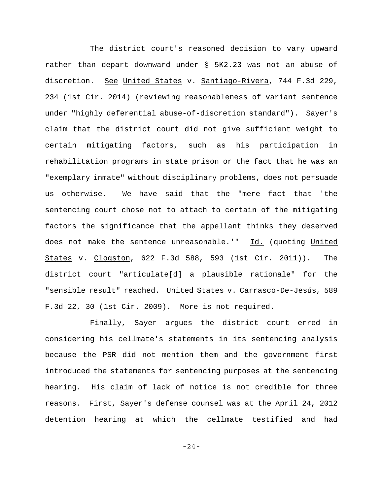The district court's reasoned decision to vary upward rather than depart downward under § 5K2.23 was not an abuse of discretion. See United States v. Santiago-Rivera, 744 F.3d 229, 234 (1st Cir. 2014) (reviewing reasonableness of variant sentence under "highly deferential abuse-of-discretion standard"). Sayer's claim that the district court did not give sufficient weight to certain mitigating factors, such as his participation in rehabilitation programs in state prison or the fact that he was an "exemplary inmate" without disciplinary problems, does not persuade us otherwise. We have said that the "mere fact that 'the sentencing court chose not to attach to certain of the mitigating factors the significance that the appellant thinks they deserved does not make the sentence unreasonable.'" Id. (quoting United States v. Clogston, 622 F.3d 588, 593 (1st Cir. 2011)). The district court "articulate[d] a plausible rationale" for the "sensible result" reached. United States v. Carrasco-De-Jesús, 589 F.3d 22, 30 (1st Cir. 2009). More is not required.

Finally, Sayer argues the district court erred in considering his cellmate's statements in its sentencing analysis because the PSR did not mention them and the government first introduced the statements for sentencing purposes at the sentencing hearing. His claim of lack of notice is not credible for three reasons. First, Sayer's defense counsel was at the April 24, 2012 detention hearing at which the cellmate testified and had

-24-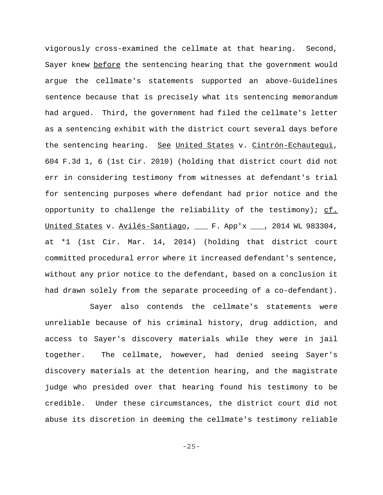vigorously cross-examined the cellmate at that hearing. Second, Sayer knew before the sentencing hearing that the government would argue the cellmate's statements supported an above-Guidelines sentence because that is precisely what its sentencing memorandum had argued. Third, the government had filed the cellmate's letter as a sentencing exhibit with the district court several days before the sentencing hearing. See United States v. Cintrón-Echautequi, 604 F.3d 1, 6 (1st Cir. 2010) (holding that district court did not err in considering testimony from witnesses at defendant's trial for sentencing purposes where defendant had prior notice and the opportunity to challenge the reliability of the testimony);  $cf.$ United States v. Avilés-Santiago, \_\_\_ F. App'x \_\_\_, 2014 WL 983304, at \*1 (1st Cir. Mar. 14, 2014) (holding that district court committed procedural error where it increased defendant's sentence, without any prior notice to the defendant, based on a conclusion it had drawn solely from the separate proceeding of a co-defendant).

Sayer also contends the cellmate's statements were unreliable because of his criminal history, drug addiction, and access to Sayer's discovery materials while they were in jail together. The cellmate, however, had denied seeing Sayer's discovery materials at the detention hearing, and the magistrate judge who presided over that hearing found his testimony to be credible. Under these circumstances, the district court did not abuse its discretion in deeming the cellmate's testimony reliable

-25-